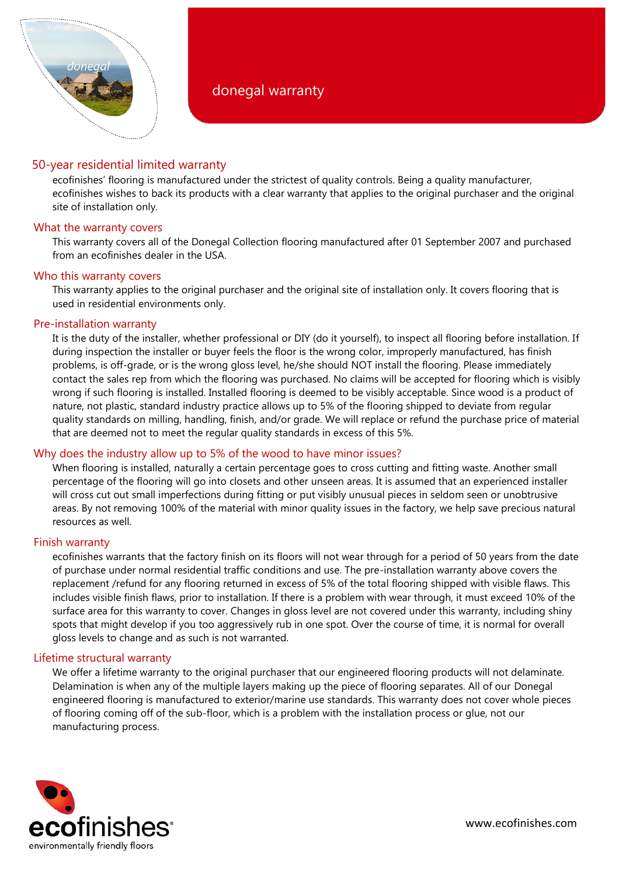

# 50-year residential limited warranty

ecofinishes' flooring is manufactured under the strictest of quality controls. Being a quality manufacturer, ecofinishes wishes to back its products with a clear warranty that applies to the original purchaser and the original site of installation only.

## What the warranty covers

This warranty covers all of the Donegal Collection flooring manufactured after 01 September 2007 and purchased from an ecofinishes dealer in the USA.

## Who this warranty covers

This warranty applies to the original purchaser and the original site of installation only. It covers flooring that is used in residential environments only.

## Pre-installation warranty

It is the duty of the installer, whether professional or DIY (do it yourself), to inspect all flooring before installation. If during inspection the installer or buyer feels the floor is the wrong color, improperly manufactured, has finish problems, is off-grade, or is the wrong gloss level, he/she should NOT install the flooring. Please immediately contact the sales rep from which the flooring was purchased. No claims will be accepted for flooring which is visibly wrong if such flooring is installed. Installed flooring is deemed to be visibly acceptable. Since wood is a product of nature, not plastic, standard industry practice allows up to 5% of the flooring shipped to deviate from regular quality standards on milling, handling, finish, and/or grade. We will replace or refund the purchase price of material that are deemed not to meet the regular quality standards in excess of this 5%.

# Why does the industry allow up to 5% of the wood to have minor issues?

When flooring is installed, naturally a certain percentage goes to cross cutting and fitting waste. Another small percentage of the flooring will go into closets and other unseen areas. It is assumed that an experienced installer will cross cut out small imperfections during fitting or put visibly unusual pieces in seldom seen or unobtrusive areas. By not removing 100% of the material with minor quality issues in the factory, we help save precious natural resources as well.

## Finish warranty

ecofinishes warrants that the factory finish on its floors will not wear through for a period of 50 years from the date of purchase under normal residential traffic conditions and use. The pre-installation warranty above covers the replacement /refund for any flooring returned in excess of 5% of the total flooring shipped with visible flaws. This includes visible finish flaws, prior to installation. If there is a problem with wear through, it must exceed 10% of the surface area for this warranty to cover. Changes in gloss level are not covered under this warranty, including shiny spots that might develop if you too aggressively rub in one spot. Over the course of time, it is normal for overall gloss levels to change and as such is not warranted.

## Lifetime structural warranty

We offer a lifetime warranty to the original purchaser that our engineered flooring products will not delaminate. Delamination is when any of the multiple layers making up the piece of flooring separates. All of our Donegal engineered flooring is manufactured to exterior/marine use standards. This warranty does not cover whole pieces of flooring coming off of the sub-floor, which is a problem with the installation process or glue, not our manufacturing process.

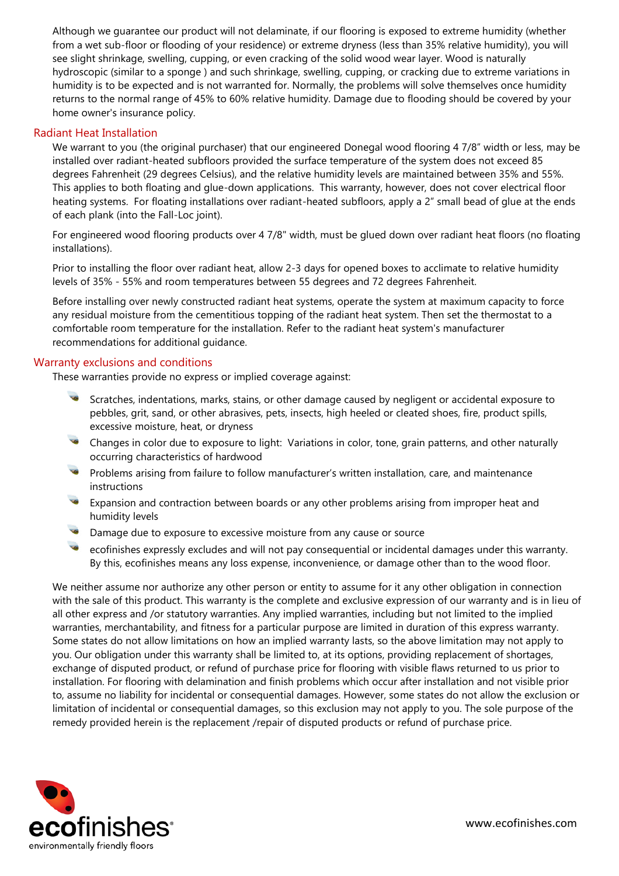Although we guarantee our product will not delaminate, if our flooring is exposed to extreme humidity (whether from a wet sub-floor or flooding of your residence) or extreme dryness (less than 35% relative humidity), you will see slight shrinkage, swelling, cupping, or even cracking of the solid wood wear layer. Wood is naturally hydroscopic (similar to a sponge ) and such shrinkage, swelling, cupping, or cracking due to extreme variations in humidity is to be expected and is not warranted for. Normally, the problems will solve themselves once humidity returns to the normal range of 45% to 60% relative humidity. Damage due to flooding should be covered by your home owner's insurance policy.

## Radiant Heat Installation

We warrant to you (the original purchaser) that our engineered Donegal wood flooring 4 7/8" width or less, may be installed over radiant-heated subfloors provided the surface temperature of the system does not exceed 85 degrees Fahrenheit (29 degrees Celsius), and the relative humidity levels are maintained between 35% and 55%. This applies to both floating and glue-down applications. This warranty, however, does not cover electrical floor heating systems. For floating installations over radiant-heated subfloors, apply a 2" small bead of glue at the ends of each plank (into the Fall-Loc joint).

For engineered wood flooring products over 4 7/8" width, must be glued down over radiant heat floors (no floating installations).

Prior to installing the floor over radiant heat, allow 2-3 days for opened boxes to acclimate to relative humidity levels of 35% - 55% and room temperatures between 55 degrees and 72 degrees Fahrenheit.

Before installing over newly constructed radiant heat systems, operate the system at maximum capacity to force any residual moisture from the cementitious topping of the radiant heat system. Then set the thermostat to a comfortable room temperature for the installation. Refer to the radiant heat system's manufacturer recommendations for additional guidance.

#### Warranty exclusions and conditions

These warranties provide no express or implied coverage against:

- Scratches, indentations, marks, stains, or other damage caused by negligent or accidental exposure to pebbles, grit, sand, or other abrasives, pets, insects, high heeled or cleated shoes, fire, product spills, excessive moisture, heat, or dryness
- Changes in color due to exposure to light: Variations in color, tone, grain patterns, and other naturally occurring characteristics of hardwood
- Problems arising from failure to follow manufacturer's written installation, care, and maintenance instructions
- Expansion and contraction between boards or any other problems arising from improper heat and humidity levels
- Damage due to exposure to excessive moisture from any cause or source
- ecofinishes expressly excludes and will not pay consequential or incidental damages under this warranty. By this, ecofinishes means any loss expense, inconvenience, or damage other than to the wood floor.

We neither assume nor authorize any other person or entity to assume for it any other obligation in connection with the sale of this product. This warranty is the complete and exclusive expression of our warranty and is in lieu of all other express and /or statutory warranties. Any implied warranties, including but not limited to the implied warranties, merchantability, and fitness for a particular purpose are limited in duration of this express warranty. Some states do not allow limitations on how an implied warranty lasts, so the above limitation may not apply to you. Our obligation under this warranty shall be limited to, at its options, providing replacement of shortages, exchange of disputed product, or refund of purchase price for flooring with visible flaws returned to us prior to installation. For flooring with delamination and finish problems which occur after installation and not visible prior to, assume no liability for incidental or consequential damages. However, some states do not allow the exclusion or limitation of incidental or consequential damages, so this exclusion may not apply to you. The sole purpose of the remedy provided herein is the replacement /repair of disputed products or refund of purchase price.

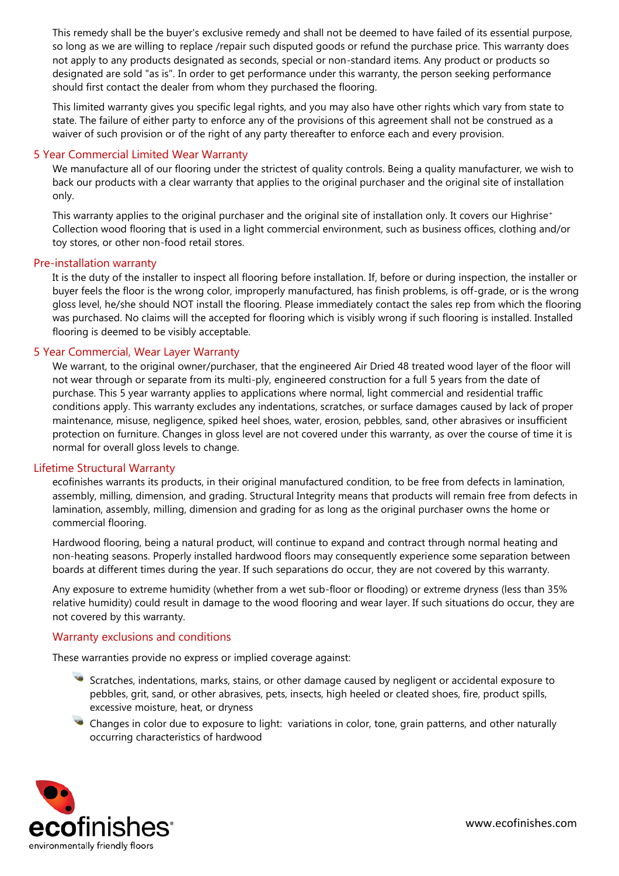This remedy shall be the buyer's exclusive remedy and shall not be deemed to have failed of its essential purpose, so long as we are willing to replace /repair such disputed goods or refund the purchase price. This warranty does not apply to any products designated as seconds, special or non-standard items. Any product or products so designated are sold "as is". In order to get performance under this warranty, the person seeking performance should first contact the dealer from whom they purchased the flooring.

This limited warranty gives you specific legal rights, and you may also have other rights which vary from state to state. The failure of either party to enforce any of the provisions of this agreement shall not be construed as a waiver of such provision or of the right of any party thereafter to enforce each and every provision.

## 5 Year Commercial Limited Wear Warranty

We manufacture all of our flooring under the strictest of quality controls. Being a quality manufacturer, we wish to back our products with a clear warranty that applies to the original purchaser and the original site of installation only.

This warranty applies to the original purchaser and the original site of installation only. It covers our Highrise<sup>+</sup> Collection wood flooring that is used in a light commercial environment, such as business offices, clothing and/or toy stores, or other non-food retail stores.

## Pre-installation warranty

It is the duty of the installer to inspect all flooring before installation. If, before or during inspection, the installer or buyer feels the floor is the wrong color, improperly manufactured, has finish problems, is off-grade, or is the wrong gloss level, he/she should NOT install the flooring. Please immediately contact the sales rep from which the flooring was purchased. No claims will the accepted for flooring which is visibly wrong if such flooring is installed. Installed flooring is deemed to be visibly acceptable.

## 5 Year Commercial, Wear Layer Warranty

We warrant, to the original owner/purchaser, that the engineered Air Dried 48 treated wood layer of the floor will not wear through or separate from its multi-ply, engineered construction for a full 5 years from the date of purchase. This 5 year warranty applies to applications where normal, light commercial and residential traffic conditions apply. This warranty excludes any indentations, scratches, or surface damages caused by lack of proper maintenance, misuse, negligence, spiked heel shoes, water, erosion, pebbles, sand, other abrasives or insufficient protection on furniture. Changes in gloss level are not covered under this warranty, as over the course of time it is normal for overall gloss levels to change.

## Lifetime Structural Warranty

ecofinishes warrants its products, in their original manufactured condition, to be free from defects in lamination, assembly, milling, dimension, and grading. Structural Integrity means that products will remain free from defects in lamination, assembly, milling, dimension and grading for as long as the original purchaser owns the home or commercial flooring.

Hardwood flooring, being a natural product, will continue to expand and contract through normal heating and non-heating seasons. Properly installed hardwood floors may consequently experience some separation between boards at different times during the year. If such separations do occur, they are not covered by this warranty.

Any exposure to extreme humidity (whether from a wet sub-floor or flooding) or extreme dryness (less than 35% relative humidity) could result in damage to the wood flooring and wear layer. If such situations do occur, they are not covered by this warranty.

## Warranty exclusions and conditions

These warranties provide no express or implied coverage against:

- Scratches, indentations, marks, stains, or other damage caused by negligent or accidental exposure to pebbles, grit, sand, or other abrasives, pets, insects, high heeled or cleated shoes, fire, product spills, excessive moisture, heat, or dryness
- Changes in color due to exposure to light: variations in color, tone, grain patterns, and other naturally occurring characteristics of hardwood